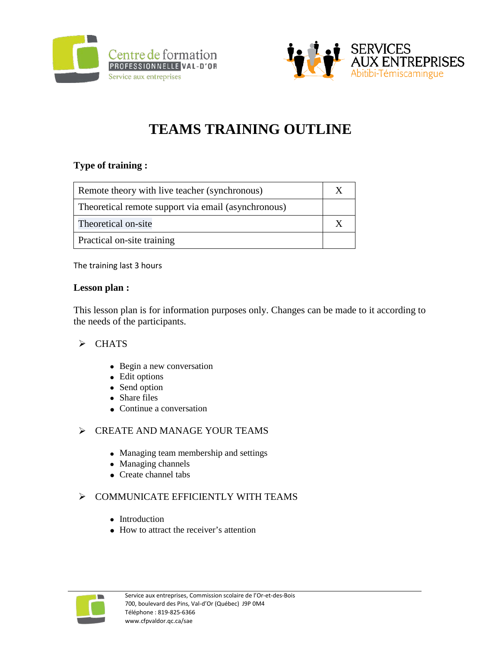



# **TEAMS TRAINING OUTLINE**

## **Type of training :**

| Remote theory with live teacher (synchronous)       |  |
|-----------------------------------------------------|--|
| Theoretical remote support via email (asynchronous) |  |
| Theoretical on-site                                 |  |
| <b>Practical on-site training</b>                   |  |

The training last 3 hours

#### **Lesson plan :**

This lesson plan is for information purposes only. Changes can be made to it according to the needs of the participants.

#### $\triangleright$  CHATS

- Begin a new conversation
- Edit options
- Send option
- Share files
- Continue a conversation

#### $\triangleright$  CREATE AND MANAGE YOUR TEAMS

- Managing team membership and settings
- Managing channels
- Create channel tabs

## $\triangleright$  COMMUNICATE EFFICIENTLY WITH TEAMS

- Introduction
- How to attract the receiver's attention